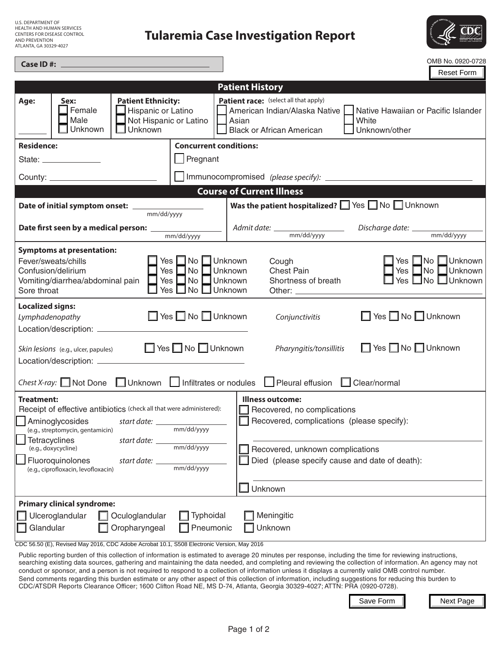| <b>U.S. DEPARTMENT OF</b>          |
|------------------------------------|
| <b>HEALTH AND HUMAN SERVICES</b>   |
| <b>CENTERS FOR DISEASE CONTROL</b> |
| <b>AND PREVENTION</b>              |
| ATLANTA, GA 30329-4027             |

## **Tularemia Case Investigation Report**



| Case ID#:                                                                                                                                                                                                                                                                                                                                       | OMB No. 0920-0728                                                                                                                                                                                                                                                                                                                                                                                                                                                                                      |
|-------------------------------------------------------------------------------------------------------------------------------------------------------------------------------------------------------------------------------------------------------------------------------------------------------------------------------------------------|--------------------------------------------------------------------------------------------------------------------------------------------------------------------------------------------------------------------------------------------------------------------------------------------------------------------------------------------------------------------------------------------------------------------------------------------------------------------------------------------------------|
|                                                                                                                                                                                                                                                                                                                                                 | <b>Reset Form</b>                                                                                                                                                                                                                                                                                                                                                                                                                                                                                      |
|                                                                                                                                                                                                                                                                                                                                                 | <b>Patient History</b>                                                                                                                                                                                                                                                                                                                                                                                                                                                                                 |
| <b>Patient Ethnicity:</b><br>Age:<br>Sex:<br>Female<br>Hispanic or Latino<br>Not Hispanic or Latino<br>Male<br>Unknown<br>Unknown                                                                                                                                                                                                               | Patient race: (select all that apply)<br>American Indian/Alaska Native<br>Native Hawaiian or Pacific Islander<br>White<br>Asian<br><b>Black or African American</b><br>Unknown/other                                                                                                                                                                                                                                                                                                                   |
| <b>Concurrent conditions:</b><br><b>Residence:</b>                                                                                                                                                                                                                                                                                              |                                                                                                                                                                                                                                                                                                                                                                                                                                                                                                        |
| Segnant<br>State: _______________                                                                                                                                                                                                                                                                                                               |                                                                                                                                                                                                                                                                                                                                                                                                                                                                                                        |
|                                                                                                                                                                                                                                                                                                                                                 |                                                                                                                                                                                                                                                                                                                                                                                                                                                                                                        |
|                                                                                                                                                                                                                                                                                                                                                 | <b>Course of Current Illness</b>                                                                                                                                                                                                                                                                                                                                                                                                                                                                       |
| mm/dd/yyyy                                                                                                                                                                                                                                                                                                                                      | Was the patient hospitalized? Similarly Pisa Similar Unknown                                                                                                                                                                                                                                                                                                                                                                                                                                           |
| mm/dd/yyyy                                                                                                                                                                                                                                                                                                                                      |                                                                                                                                                                                                                                                                                                                                                                                                                                                                                                        |
| <b>Symptoms at presentation:</b><br>Yes □ No □ Unknown<br>Fever/sweats/chills<br>Yes<br>∃No<br>Confusion/delirium<br>$\Box$ No<br>Yes<br>Vomiting/diarrhea/abdominal pain<br>Yes □ No □ Unknown<br>Sore throat                                                                                                                                  | $\Box$ Unknown $\vert$<br>$\Box$ No<br>Cough<br>Yes l<br>Yes<br>$\square$ No<br>Unknown<br>$\Box$ Unknown<br><b>Chest Pain</b><br>Yes $\Box$ No $\Box$ Unknown<br>$\Box$ Unknown<br>Shortness of breath                                                                                                                                                                                                                                                                                                |
| <b>Localized signs:</b><br>Yes No Unknown<br>Lymphadenopathy<br>Location/description: ___________                                                                                                                                                                                                                                               | Yes No Unknown<br>Conjunctivitis                                                                                                                                                                                                                                                                                                                                                                                                                                                                       |
| ■ Yes ■ No ■ Unknown<br>Skin lesions (e.g., ulcer, papules)                                                                                                                                                                                                                                                                                     | ■ Yes ■ No ■ Unknown<br>Pharyngitis/tonsillitis                                                                                                                                                                                                                                                                                                                                                                                                                                                        |
| Chest X-ray: $\Box$ Not Done                                                                                                                                                                                                                                                                                                                    | □ Unknown   Infiltrates or nodules   Pleural effusion   Clear/normal                                                                                                                                                                                                                                                                                                                                                                                                                                   |
| Treatment:<br>Receipt of effective antibiotics (check all that were administered):<br>Aminoglycosides<br>start date: $\_$<br>mm/dd/yyyy<br>(e.g., streptomycin, gentamicin)<br><b>Tetracyclines</b><br>start date:<br>mm/dd/yyyy<br>(e.g., doxycycline)<br>Fluoroquinolones<br>start date:<br>mm/dd/yyyy<br>(e.g., ciprofloxacin, levofloxacin) | <b>Illness outcome:</b><br>Recovered, no complications<br>Recovered, complications (please specify):<br>Recovered, unknown complications<br>Died (please specify cause and date of death):                                                                                                                                                                                                                                                                                                             |
|                                                                                                                                                                                                                                                                                                                                                 | Unknown                                                                                                                                                                                                                                                                                                                                                                                                                                                                                                |
| <b>Primary clinical syndrome:</b><br>Typhoidal<br>Ulceroglandular<br>Oculoglandular<br>Glandular<br>Oropharyngeal<br>Pneumonic<br>CDC 56.50 (E), Revised May 2016, CDC Adobe Acrobat 10.1, S508 Electronic Version, May 2016                                                                                                                    | Meningitic<br>Unknown<br>Public reporting burden of this collection of information is estimated to average 20 minutes per response, including the time for reviewing instructions,<br>searching existing data sources, gathering and maintaining the data needed, and completing and reviewing the collection of information. An agency may not<br>conduct or sponsor, and a person is not required to respond to a collection of information unless it displays a currently valid OMB control number. |
| CDC/ATSDR Reports Clearance Officer; 1600 Clifton Road NE, MS D-74, Atlanta, Georgia 30329-4027; ATTN: PRA (0920-0728).                                                                                                                                                                                                                         | Send comments regarding this burden estimate or any other aspect of this collection of information, including suggestions for reducing this burden to<br>Save Form<br>Next Page                                                                                                                                                                                                                                                                                                                        |